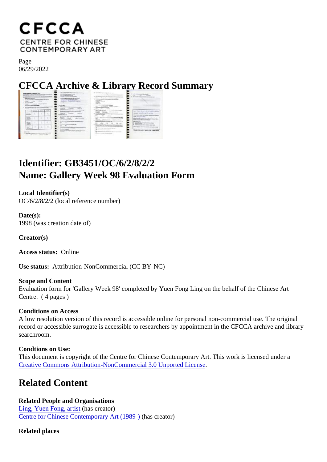Page 06/29/2022

CFCCA Archive & Library Record Summary

## Identifier: GB3451/OC/6/2/8/2/2 Name: Gallery Week 98 Evaluation Form

Local Identifier(s) OC/6/2/8/2/2 (local reference number)

Date(s): 1998 (was creation date of)

Creator(s)

Access status: Online

Use status: Attribution-NonCommercial (CC BY-NC)

Scope and Content Evaluation form for 'Gallery Week 98' completed by Yuen Fong Ling on the behalf of the Chinese Art Centre. ( 4 pages )

Conditions on Access

A low resolution version of this record is accessible online for personal non-commercial use. The original record or accessible surrogate is accessible to researchers by appointment in the CFCCA archive and libr searchroom.

Condtions on Use: This document is copyright of the Centre for Chinese Contemporary Art. This work is licensed under a [Creative Commons Attribution-NonCommercial 3.0 Unported Lic](https://creativecommons.org/licenses/by-nc/3.0/)ense .

## Related Content

Related People and Organisations [Ling, Yuen Fong, artis](/index.php/Detail/entities/175)thas creator) [Centre for Chinese Contemporary Art \(198](/index.php/Detail/entities/2)<sup>0</sup>)as creator)

Related places